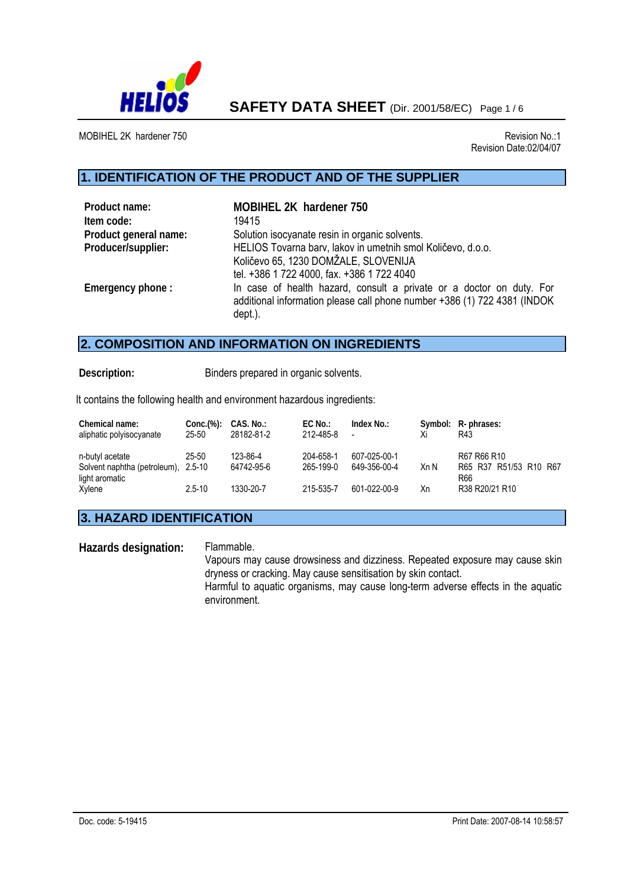

**SAFETY DATA SHEET** (Dir. 2001/58/EC) Page 1 / 6

MOBIHEL 2K hardener 750 **Revision No.:1** Revision No.:1

j

Revision Date:02/04/07

### **1. IDENTIFICATION OF THE PRODUCT AND OF THE SUPPLIER**

| Product name:<br>Item code: | MOBIHEL 2K hardener 750<br>19415                                                                                                                            |
|-----------------------------|-------------------------------------------------------------------------------------------------------------------------------------------------------------|
| Product general name:       | Solution isocyanate resin in organic solvents.                                                                                                              |
| Producer/supplier:          | HELIOS Tovarna barv, lakov in umetnih smol Količevo, d.o.o.<br>Količevo 65, 1230 DOMŽALE, SLOVENIJA<br>tel. +386 1 722 4000, fax. +386 1 722 4040           |
| Emergency phone:            | In case of health hazard, consult a private or a doctor on duty. For<br>additional information please call phone number +386 (1) 722 4381 (INDOK<br>dept.). |

## **2. COMPOSITION AND INFORMATION ON INGREDIENTS**

**Description:** Binders prepared in organic solvents.

It contains the following health and environment hazardous ingredients:

| Chemical name:<br>aliphatic polyisocyanate                               | $Conc.$ $%$ :<br>25-50 | CAS. No.:<br>28182-81-2 | EC No.:<br>212-485-8   | Index No.:<br>$\overline{\phantom{a}}$ | Xi   | Symbol: R-phrases:<br>R43                    |
|--------------------------------------------------------------------------|------------------------|-------------------------|------------------------|----------------------------------------|------|----------------------------------------------|
| n-butyl acetate<br>Solvent naphtha (petroleum), 2.5-10<br>light aromatic | 25-50                  | 123-86-4<br>64742-95-6  | 204-658-1<br>265-199-0 | 607-025-00-1<br>649-356-00-4           | Xn N | R67 R66 R10<br>R65 R37 R51/53 R10 R67<br>R66 |
| Xylene                                                                   | $2.5 - 10$             | 1330-20-7               | 215-535-7              | 601-022-00-9                           | Хn   | R38 R20/21 R10                               |

### **3. HAZARD IDENTIFICATION**

**Hazards designation:** Flammable.

Vapours may cause drowsiness and dizziness. Repeated exposure may cause skin dryness or cracking. May cause sensitisation by skin contact.

Harmful to aquatic organisms, may cause long-term adverse effects in the aquatic environment.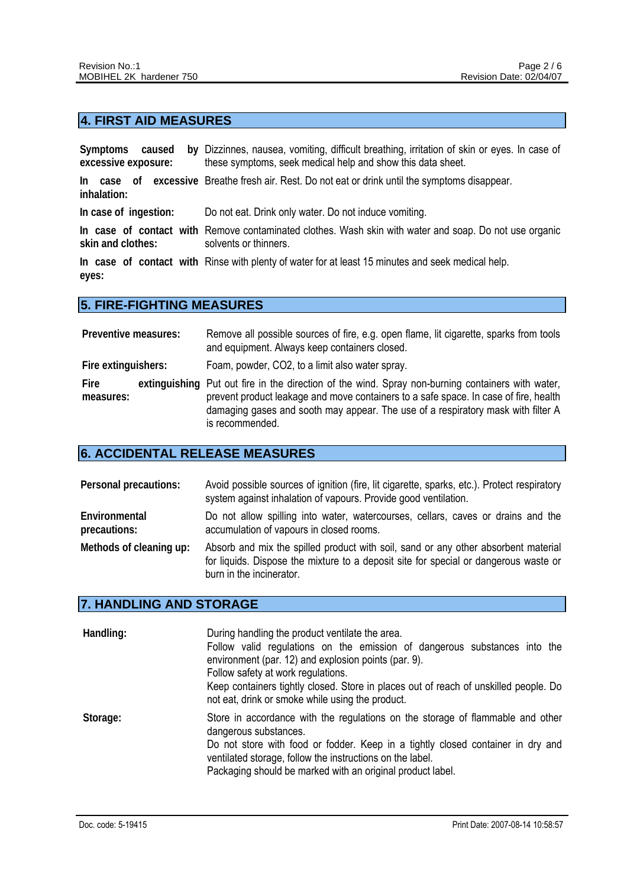# **4. FIRST AID MEASURES**

| Symptoms<br>caused<br>excessive exposure: | by Dizzinnes, nausea, vomiting, difficult breathing, irritation of skin or eyes. In case of<br>these symptoms, seek medical help and show this data sheet. |
|-------------------------------------------|------------------------------------------------------------------------------------------------------------------------------------------------------------|
| inhalation:                               | In case of excessive Breathe fresh air. Rest. Do not eat or drink until the symptoms disappear.                                                            |
| In case of ingestion:                     | Do not eat. Drink only water. Do not induce vomiting.                                                                                                      |
| skin and clothes:                         | In case of contact with Remove contaminated clothes. Wash skin with water and soap. Do not use organic<br>solvents or thinners.                            |
| eyes:                                     | In case of contact with Rinse with plenty of water for at least 15 minutes and seek medical help.                                                          |

### **5. FIRE-FIGHTING MEASURES**

| Preventive measures: | Remove all possible sources of fire, e.g. open flame, lit cigarette, sparks from tools<br>and equipment. Always keep containers closed.                                                                                                                                                          |
|----------------------|--------------------------------------------------------------------------------------------------------------------------------------------------------------------------------------------------------------------------------------------------------------------------------------------------|
| Fire extinguishers:  | Foam, powder, CO2, to a limit also water spray.                                                                                                                                                                                                                                                  |
| Fire<br>measures:    | extinguishing Put out fire in the direction of the wind. Spray non-burning containers with water,<br>prevent product leakage and move containers to a safe space. In case of fire, health<br>damaging gases and sooth may appear. The use of a respiratory mask with filter A<br>is recommended. |

### **6. ACCIDENTAL RELEASE MEASURES**

| Personal precautions:         | Avoid possible sources of ignition (fire, lit cigarette, sparks, etc.). Protect respiratory<br>system against inhalation of vapours. Provide good ventilation.                                         |
|-------------------------------|--------------------------------------------------------------------------------------------------------------------------------------------------------------------------------------------------------|
| Environmental<br>precautions: | Do not allow spilling into water, watercourses, cellars, caves or drains and the<br>accumulation of vapours in closed rooms.                                                                           |
| Methods of cleaning up:       | Absorb and mix the spilled product with soil, sand or any other absorbent material<br>for liquids. Dispose the mixture to a deposit site for special or dangerous waste or<br>burn in the incinerator. |

#### **7. HANDLING AND STORAGE**

| Handling: | During handling the product ventilate the area.<br>Follow valid regulations on the emission of dangerous substances into the<br>environment (par. 12) and explosion points (par. 9).<br>Follow safety at work regulations.<br>Keep containers tightly closed. Store in places out of reach of unskilled people. Do<br>not eat, drink or smoke while using the product. |
|-----------|------------------------------------------------------------------------------------------------------------------------------------------------------------------------------------------------------------------------------------------------------------------------------------------------------------------------------------------------------------------------|
| Storage:  | Store in accordance with the regulations on the storage of flammable and other<br>dangerous substances.<br>Do not store with food or fodder. Keep in a tightly closed container in dry and<br>ventilated storage, follow the instructions on the label.<br>Packaging should be marked with an original product label.                                                  |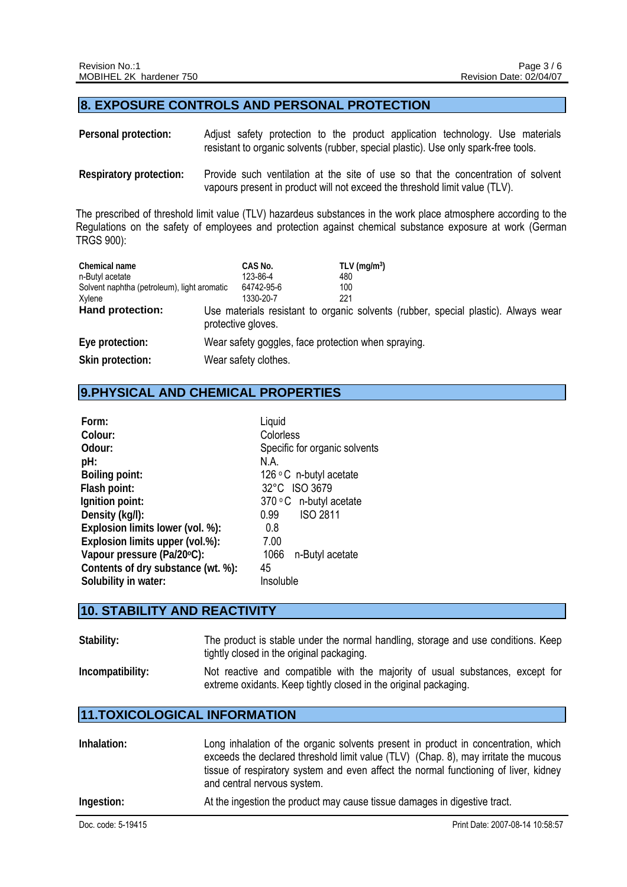#### **8. EXPOSURE CONTROLS AND PERSONAL PROTECTION**

- **Personal protection:** Adjust safety protection to the product application technology. Use materials resistant to organic solvents (rubber, special plastic). Use only spark-free tools.
- **Respiratory protection:** Provide such ventilation at the site of use so that the concentration of solvent vapours present in product will not exceed the threshold limit value (TLV).

The prescribed of threshold limit value (TLV) hazardeus substances in the work place atmosphere according to the Regulations on the safety of employees and protection against chemical substance exposure at work (German TRGS 900):

| Chemical name                               | CAS No.                                             | TLV ( $mg/m3$ )                                                                    |  |
|---------------------------------------------|-----------------------------------------------------|------------------------------------------------------------------------------------|--|
| n-Butyl acetate                             | 123-86-4                                            | 480                                                                                |  |
| Solvent naphtha (petroleum), light aromatic | 64742-95-6                                          | 100                                                                                |  |
| Xylene                                      | 1330-20-7                                           | 221                                                                                |  |
| Hand protection:                            | protective gloves.                                  | Use materials resistant to organic solvents (rubber, special plastic). Always wear |  |
| Eye protection:                             | Wear safety goggles, face protection when spraying. |                                                                                    |  |
| Skin protection:                            | Wear safety clothes.                                |                                                                                    |  |

### **9.PHYSICAL AND CHEMICAL PROPERTIES**

| Form:                              | Liquid                        |
|------------------------------------|-------------------------------|
| Colour:                            | Colorless                     |
| Odour:                             | Specific for organic solvents |
| pH:                                | N A                           |
| <b>Boiling point:</b>              | 126 $\circ$ C n-butyl acetate |
| Flash point:                       | 32°C ISO 3679                 |
| Ignition point:                    | 370 °C n-butyl acetate        |
| Density (kg/l):                    | <b>ISO 2811</b><br>0.99       |
| Explosion limits lower (vol. %):   | 0.8                           |
| Explosion limits upper (vol.%):    | 7.00                          |
| Vapour pressure (Pa/20°C):         | 1066<br>n-Butyl acetate       |
| Contents of dry substance (wt. %): | 45                            |
| Solubility in water:               | Insoluble                     |

#### **10. STABILITY AND REACTIVITY**

| Stability:       | The product is stable under the normal handling, storage and use conditions. Keep<br>tightly closed in the original packaging.                    |
|------------------|---------------------------------------------------------------------------------------------------------------------------------------------------|
| Incompatibility: | Not reactive and compatible with the majority of usual substances, except for<br>extreme oxidants. Keep tightly closed in the original packaging. |

### **11.TOXICOLOGICAL INFORMATION**

| At the ingestion the product may cause tissue damages in digestive tract. | Inhalation: | Long inhalation of the organic solvents present in product in concentration, which<br>exceeds the declared threshold limit value (TLV) (Chap. 8), may irritate the mucous<br>tissue of respiratory system and even affect the normal functioning of liver, kidney<br>and central nervous system. |
|---------------------------------------------------------------------------|-------------|--------------------------------------------------------------------------------------------------------------------------------------------------------------------------------------------------------------------------------------------------------------------------------------------------|
|                                                                           | Ingestion:  |                                                                                                                                                                                                                                                                                                  |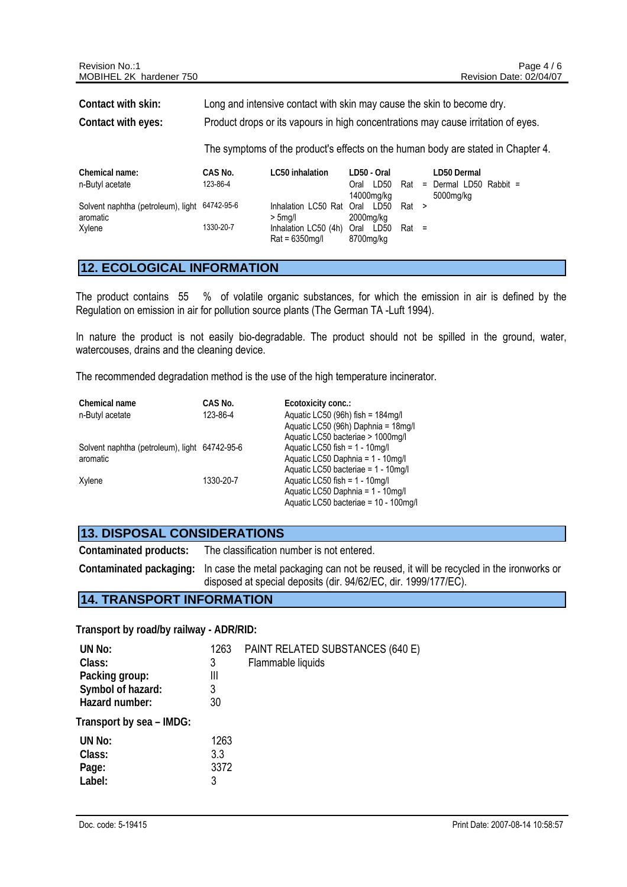| Chemical name:                                | CAS No.   | LC50 inhalation               | LD50 - Oral  |                | LD50 Dermal                         |
|-----------------------------------------------|-----------|-------------------------------|--------------|----------------|-------------------------------------|
| n-Butyl acetate                               | 123-86-4  |                               | LD50<br>Oral |                | $\text{Rat}$ = Dermal LD50 Rabbit = |
|                                               |           |                               | 14000mg/kg   |                | 5000mg/kg                           |
| Solvent naphtha (petroleum), light 64742-95-6 |           | Inhalation LC50 Rat Oral LD50 |              | Rat >          |                                     |
| aromatic                                      |           | > 5ma/l                       | 2000mg/kg    |                |                                     |
| Xvlene                                        | 1330-20-7 | Inhalation LC50 (4h)          | Oral LD50    | $\text{Rat}$ = |                                     |
|                                               |           | $Rat = 6350$ mg/l             | 8700mg/kg    |                |                                     |

#### **12. ECOLOGICAL INFORMATION**

The product contains 55 % of volatile organic substances, for which the emission in air is defined by the Regulation on emission in air for pollution source plants (The German TA -Luft 1994).

In nature the product is not easily bio-degradable. The product should not be spilled in the ground, water, watercouses, drains and the cleaning device.

The recommended degradation method is the use of the high temperature incinerator.

| Chemical name                                 | CAS No.   | Ecotoxicity conc.:                    |
|-----------------------------------------------|-----------|---------------------------------------|
| n-Butyl acetate                               | 123-86-4  | Aquatic LC50 (96h) fish = 184mg/l     |
|                                               |           | Aquatic LC50 (96h) Daphnia = 18mg/l   |
|                                               |           | Aquatic LC50 bacteriae > 1000mg/l     |
| Solvent naphtha (petroleum), light 64742-95-6 |           | Aquatic LC50 fish = 1 - 10mg/l        |
| aromatic                                      |           | Aquatic LC50 Daphnia = 1 - 10mg/l     |
|                                               |           | Aquatic LC50 bacteriae = 1 - 10mg/l   |
| Xylene                                        | 1330-20-7 | Aquatic LC50 fish = $1 - 10$ mg/l     |
|                                               |           | Aquatic LC50 Daphnia = 1 - 10mg/l     |
|                                               |           | Aquatic LC50 bacteriae = 10 - 100mg/l |

#### **13. DISPOSAL CONSIDERATIONS**

**Contaminated products:** The classification number is not entered.

**Contaminated packaging:** In case the metal packaging can not be reused, it will be recycled in the ironworks or disposed at special deposits (dir. 94/62/EC, dir. 1999/177/EC).

#### **14. TRANSPORT INFORMATION**

**Transport by road/by railway - ADR/RID:**

| 1263 | PAINT RELATED SUBSTANCES (640 E) |
|------|----------------------------------|
| 3    | Flammable liquids                |
| Ш    |                                  |
| 3    |                                  |
| 30   |                                  |
|      |                                  |
| 1263 |                                  |
| 3.3  |                                  |
| 3372 |                                  |
| 3    |                                  |
|      |                                  |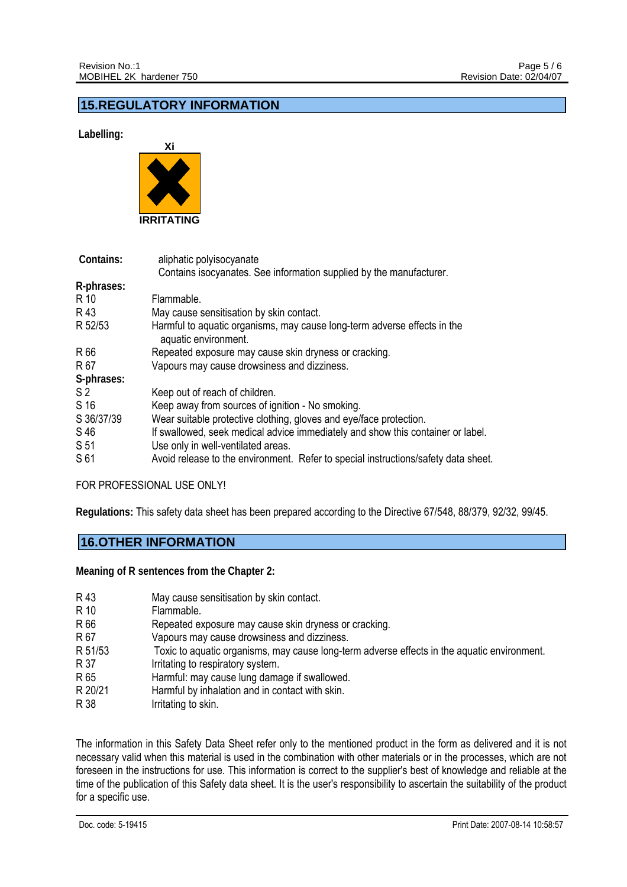### **15.REGULATORY INFORMATION**

 **Labelling:** 



| Contains:       | aliphatic polyisocyanate                                                                         |
|-----------------|--------------------------------------------------------------------------------------------------|
|                 | Contains isocyanates. See information supplied by the manufacturer.                              |
| R-phrases:      |                                                                                                  |
| R 10            | Flammable.                                                                                       |
| R 43            | May cause sensitisation by skin contact.                                                         |
| R 52/53         | Harmful to aquatic organisms, may cause long-term adverse effects in the<br>aquatic environment. |
| R 66            | Repeated exposure may cause skin dryness or cracking.                                            |
| R 67            | Vapours may cause drowsiness and dizziness.                                                      |
| S-phrases:      |                                                                                                  |
| S <sub>2</sub>  | Keep out of reach of children.                                                                   |
| S 16            | Keep away from sources of ignition - No smoking.                                                 |
| S 36/37/39      | Wear suitable protective clothing, gloves and eye/face protection.                               |
| S 46            | If swallowed, seek medical advice immediately and show this container or label.                  |
| S <sub>51</sub> | Use only in well-ventilated areas.                                                               |
| S 61            | Avoid release to the environment. Refer to special instructions/safety data sheet.               |

FOR PROFESSIONAL USE ONLY!

**Regulations:** This safety data sheet has been prepared according to the Directive 67/548, 88/379, 92/32, 99/45.

### **16.OTHER INFORMATION**

**Meaning of R sentences from the Chapter 2:** 

| R 43    | May cause sensitisation by skin contact.                                                    |
|---------|---------------------------------------------------------------------------------------------|
| R 10    | Flammable.                                                                                  |
| R 66    | Repeated exposure may cause skin dryness or cracking.                                       |
| R 67    | Vapours may cause drowsiness and dizziness.                                                 |
| R 51/53 | Toxic to aquatic organisms, may cause long-term adverse effects in the aquatic environment. |
| R 37    | Irritating to respiratory system.                                                           |
| R 65    | Harmful: may cause lung damage if swallowed.                                                |
| R 20/21 | Harmful by inhalation and in contact with skin.                                             |
| R 38    | Irritating to skin.                                                                         |
|         |                                                                                             |

The information in this Safety Data Sheet refer only to the mentioned product in the form as delivered and it is not necessary valid when this material is used in the combination with other materials or in the processes, which are not foreseen in the instructions for use. This information is correct to the supplier's best of knowledge and reliable at the time of the publication of this Safety data sheet. It is the user's responsibility to ascertain the suitability of the product for a specific use.